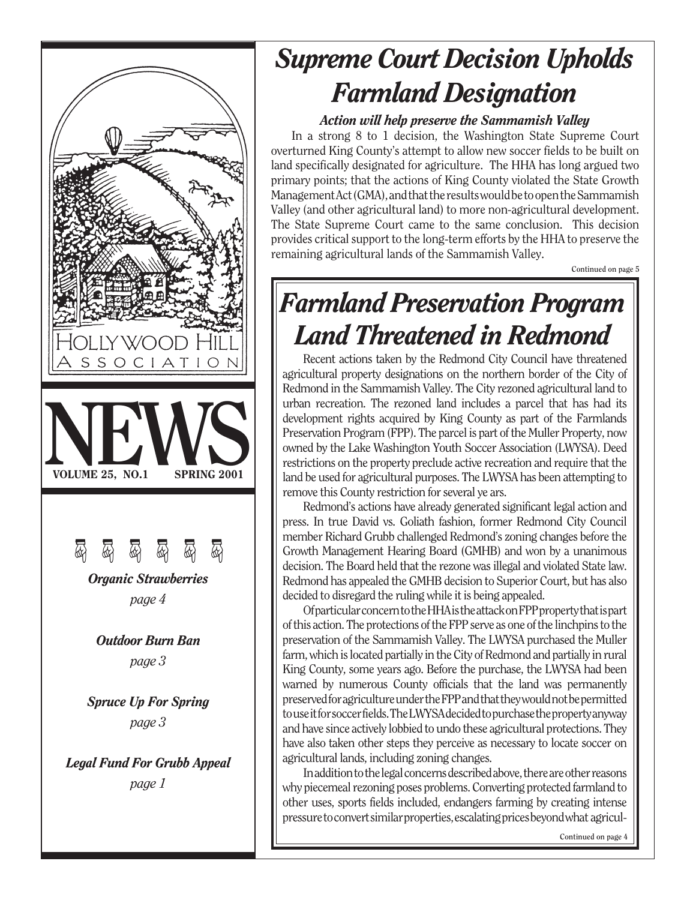

# *Supreme Court Decision Upholds Farmland Designation*

### *Action will help preserve the Sammamish Valley*

In a strong 8 to 1 decision, the Washington State Supreme Court overturned King County's attempt to allow new soccer fields to be built on land specifically designated for agriculture. The HHA has long argued two primary points; that the actions of King County violated the State Growth Management Act (GMA), and that the results would be to open the Sammamish Valley (and other agricultural land) to more non-agricultural development. The State Supreme Court came to the same conclusion. This decision provides critical support to the long-term efforts by the HHA to preserve the remaining agricultural lands of the Sammamish Valley.

**Continued on page 5**

# *Farmland Preservation Program Land Threatened in Redmond*

Recent actions taken by the Redmond City Council have threatened agricultural property designations on the northern border of the City of Redmond in the Sammamish Valley. The City rezoned agricultural land to urban recreation. The rezoned land includes a parcel that has had its development rights acquired by King County as part of the Farmlands Preservation Program (FPP). The parcel is part of the Muller Property, now owned by the Lake Washington Youth Soccer Association (LWYSA). Deed restrictions on the property preclude active recreation and require that the land be used for agricultural purposes. The LWYSA has been attempting to remove this County restriction for several ye ars.

Redmond's actions have already generated significant legal action and press. In true David vs. Goliath fashion, former Redmond City Council member Richard Grubb challenged Redmond's zoning changes before the Growth Management Hearing Board (GMHB) and won by a unanimous decision. The Board held that the rezone was illegal and violated State law. Redmond has appealed the GMHB decision to Superior Court, but has also decided to disregard the ruling while it is being appealed.

Of particular concern to the HHA is the attack on FPP property that is part of this action. The protections of the FPP serve as one of the linchpins to the preservation of the Sammamish Valley. The LWYSA purchased the Muller farm, which is located partially in the City of Redmond and partially in rural King County, some years ago. Before the purchase, the LWYSA had been warned by numerous County officials that the land was permanently preserved for agriculture under the FPP and that they would not be permitted to use it for soccer fields. The LWYSA decided to purchase the property anyway and have since actively lobbied to undo these agricultural protections. They have also taken other steps they perceive as necessary to locate soccer on agricultural lands, including zoning changes.

In addition to the legal concerns described above, there are other reasons why piecemeal rezoning poses problems. Converting protected farmland to other uses, sports fields included, endangers farming by creating intense pressure to convert similar properties, escalating prices beyond what agricul-

**Continued on page 4**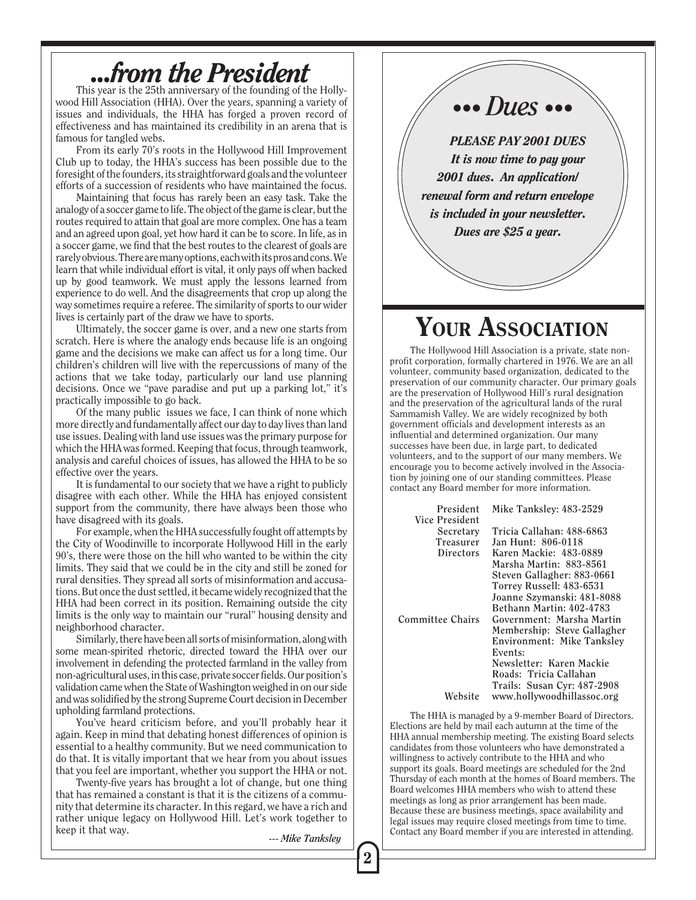## *...from the President*

This year is the 25th anniversary of the founding of the Hollywood Hill Association (HHA). Over the years, spanning a variety of issues and individuals, the HHA has forged a proven record of effectiveness and has maintained its credibility in an arena that is famous for tangled webs.

From its early 70's roots in the Hollywood Hill Improvement Club up to today, the HHA's success has been possible due to the foresight of the founders, its straightforward goals and the volunteer efforts of a succession of residents who have maintained the focus.

Maintaining that focus has rarely been an easy task. Take the analogy of a soccer game to life. The object of the game is clear, but the routes required to attain that goal are more complex. One has a team and an agreed upon goal, yet how hard it can be to score. In life, as in a soccer game, we find that the best routes to the clearest of goals are rarely obvious. There are many options, each with its pros and cons. We learn that while individual effort is vital, it only pays off when backed up by good teamwork. We must apply the lessons learned from experience to do well. And the disagreements that crop up along the way sometimes require a referee. The similarity of sports to our wider lives is certainly part of the draw we have to sports.

Ultimately, the soccer game is over, and a new one starts from scratch. Here is where the analogy ends because life is an ongoing game and the decisions we make can affect us for a long time. Our children's children will live with the repercussions of many of the actions that we take today, particularly our land use planning decisions. Once we "pave paradise and put up a parking lot," it's practically impossible to go back.

Of the many public issues we face, I can think of none which more directly and fundamentally affect our day to day lives than land use issues. Dealing with land use issues was the primary purpose for which the HHA was formed. Keeping that focus, through teamwork, analysis and careful choices of issues, has allowed the HHA to be so effective over the years.

It is fundamental to our society that we have a right to publicly disagree with each other. While the HHA has enjoyed consistent support from the community, there have always been those who have disagreed with its goals.

For example, when the HHA successfully fought off attempts by the City of Woodinville to incorporate Hollywood Hill in the early 90's, there were those on the hill who wanted to be within the city limits. They said that we could be in the city and still be zoned for rural densities. They spread all sorts of misinformation and accusations. But once the dust settled, it became widely recognized that the HHA had been correct in its position. Remaining outside the city limits is the only way to maintain our "rural" housing density and neighborhood character.

Similarly, there have been all sorts of misinformation, along with some mean-spirited rhetoric, directed toward the HHA over our involvement in defending the protected farmland in the valley from non-agricultural uses, in this case, private soccer fields. Our position's validation came when the State of Washington weighed in on our side and was solidified by the strong Supreme Court decision in December upholding farmland protections.

You've heard criticism before, and you'll probably hear it again. Keep in mind that debating honest differences of opinion is essential to a healthy community. But we need communication to do that. It is vitally important that we hear from you about issues that you feel are important, whether you support the HHA or not.

Twenty-five years has brought a lot of change, but one thing that has remained a constant is that it is the citizens of a community that determine its character. In this regard, we have a rich and rather unique legacy on Hollywood Hill. Let's work together to keep it that way. *--- Mike Tanksley*

## *••• Dues •••*

*PLEASE PAY 2001 DUES It is now time to pay your 2001 dues. An application/ renewal form and return envelope is included in your newsletter. Dues are \$25 a year.*

## YOUR ASSOCIATION

The Hollywood Hill Association is a private, state nonprofit corporation, formally chartered in 1976. We are an all volunteer, community based organization, dedicated to the preservation of our community character. Our primary goals are the preservation of Hollywood Hill's rural designation and the preservation of the agricultural lands of the rural Sammamish Valley. We are widely recognized by both government officials and development interests as an influential and determined organization. Our many successes have been due, in large part, to dedicated volunteers, and to the support of our many members. We encourage you to become actively involved in the Association by joining one of our standing committees. Please contact any Board member for more information.

| President        | Mike Tanksley: 483-2529     |
|------------------|-----------------------------|
| Vice President   |                             |
| Secretary        | Tricia Callahan: 488-6863   |
| <b>Treasurer</b> | Jan Hunt: 806-0118          |
| Directors        | Karen Mackie: 483-0889      |
|                  | Marsha Martin: 883-8561     |
|                  | Steven Gallagher: 883-0661  |
|                  | Torrey Russell: 483-6531    |
|                  | Joanne Szymanski: 481-8088  |
|                  | Bethann Martin: 402-4783    |
| Committee Chairs | Government: Marsha Martin   |
|                  | Membership: Steve Gallagher |
|                  | Environment: Mike Tanksley  |
|                  | Events:                     |
|                  | Newsletter: Karen Mackie    |
|                  | Roads: Tricia Callahan      |
|                  | Trails: Susan Cyr: 487-2908 |
| Website          | www.hollywoodhillassoc.org  |

The HHA is managed by a 9-member Board of Directors. Elections are held by mail each autumn at the time of the HHA annual membership meeting. The existing Board selects candidates from those volunteers who have demonstrated a willingness to actively contribute to the HHA and who support its goals. Board meetings are scheduled for the 2nd Thursday of each month at the homes of Board members. The Board welcomes HHA members who wish to attend these meetings as long as prior arrangement has been made. Because these are business meetings, space availability and legal issues may require closed meetings from time to time. Contact any Board member if you are interested in attending.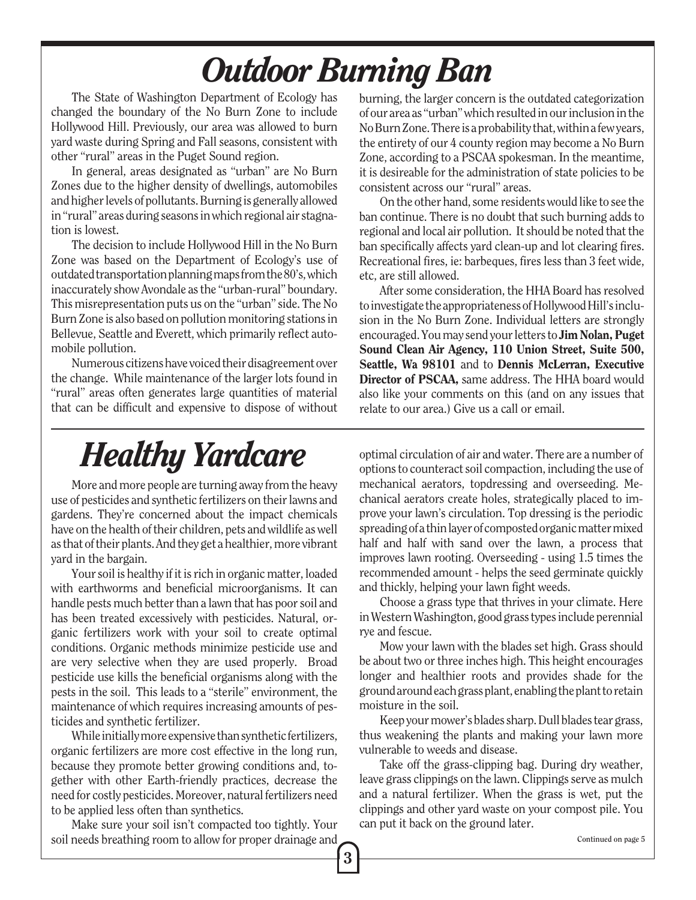# *Outdoor Burning Ban*

The State of Washington Department of Ecology has changed the boundary of the No Burn Zone to include Hollywood Hill. Previously, our area was allowed to burn yard waste during Spring and Fall seasons, consistent with other "rural" areas in the Puget Sound region.

In general, areas designated as "urban" are No Burn Zones due to the higher density of dwellings, automobiles and higher levels of pollutants. Burning is generally allowed in "rural" areas during seasons in which regional air stagnation is lowest.

The decision to include Hollywood Hill in the No Burn Zone was based on the Department of Ecology's use of outdated transportation planning maps from the 80's, which inaccurately show Avondale as the "urban-rural" boundary. This misrepresentation puts us on the "urban" side. The No Burn Zone is also based on pollution monitoring stations in Bellevue, Seattle and Everett, which primarily reflect automobile pollution.

Numerous citizens have voiced their disagreement over the change. While maintenance of the larger lots found in "rural" areas often generates large quantities of material that can be difficult and expensive to dispose of without burning, the larger concern is the outdated categorization of our area as "urban" which resulted in our inclusion in the No Burn Zone. There is a probability that, within a few years, the entirety of our 4 county region may become a No Burn Zone, according to a PSCAA spokesman. In the meantime, it is desireable for the administration of state policies to be consistent across our "rural" areas.

On the other hand, some residents would like to see the ban continue. There is no doubt that such burning adds to regional and local air pollution. It should be noted that the ban specifically affects yard clean-up and lot clearing fires. Recreational fires, ie: barbeques, fires less than 3 feet wide, etc, are still allowed.

After some consideration, the HHA Board has resolved to investigate the appropriateness of Hollywood Hill's inclusion in the No Burn Zone. Individual letters are strongly encouraged. You may send your letters to Jim Nolan, Puget Sound Clean Air Agency, 110 Union Street, Suite 500, Seattle, Wa 98101 and to Dennis McLerran, Executive Director of PSCAA, same address. The HHA board would also like your comments on this (and on any issues that relate to our area.) Give us a call or email.

# *Healthy Yardcare*

More and more people are turning away from the heavy use of pesticides and synthetic fertilizers on their lawns and gardens. They're concerned about the impact chemicals have on the health of their children, pets and wildlife as well as that of their plants. And they get a healthier, more vibrant yard in the bargain.

Your soil is healthy if it is rich in organic matter, loaded with earthworms and beneficial microorganisms. It can handle pests much better than a lawn that has poor soil and has been treated excessively with pesticides. Natural, organic fertilizers work with your soil to create optimal conditions. Organic methods minimize pesticide use and are very selective when they are used properly. Broad pesticide use kills the beneficial organisms along with the pests in the soil. This leads to a "sterile" environment, the maintenance of which requires increasing amounts of pesticides and synthetic fertilizer.

While initially more expensive than synthetic fertilizers, organic fertilizers are more cost effective in the long run, because they promote better growing conditions and, together with other Earth-friendly practices, decrease the need for costly pesticides. Moreover, natural fertilizers need to be applied less often than synthetics.

Make sure your soil isn't compacted too tightly. Your soil needs breathing room to allow for proper drainage and

3

optimal circulation of air and water. There are a number of options to counteract soil compaction, including the use of mechanical aerators, topdressing and overseeding. Mechanical aerators create holes, strategically placed to improve your lawn's circulation. Top dressing is the periodic spreading of a thin layer of composted organic matter mixed half and half with sand over the lawn, a process that improves lawn rooting. Overseeding - using 1.5 times the recommended amount - helps the seed germinate quickly and thickly, helping your lawn fight weeds.

Choose a grass type that thrives in your climate. Here in Western Washington, good grass types include perennial rye and fescue.

Mow your lawn with the blades set high. Grass should be about two or three inches high. This height encourages longer and healthier roots and provides shade for the ground around each grass plant, enabling the plant to retain moisture in the soil.

Keep your mower's blades sharp. Dull blades tear grass, thus weakening the plants and making your lawn more vulnerable to weeds and disease.

Take off the grass-clipping bag. During dry weather, leave grass clippings on the lawn. Clippings serve as mulch and a natural fertilizer. When the grass is wet, put the clippings and other yard waste on your compost pile. You can put it back on the ground later.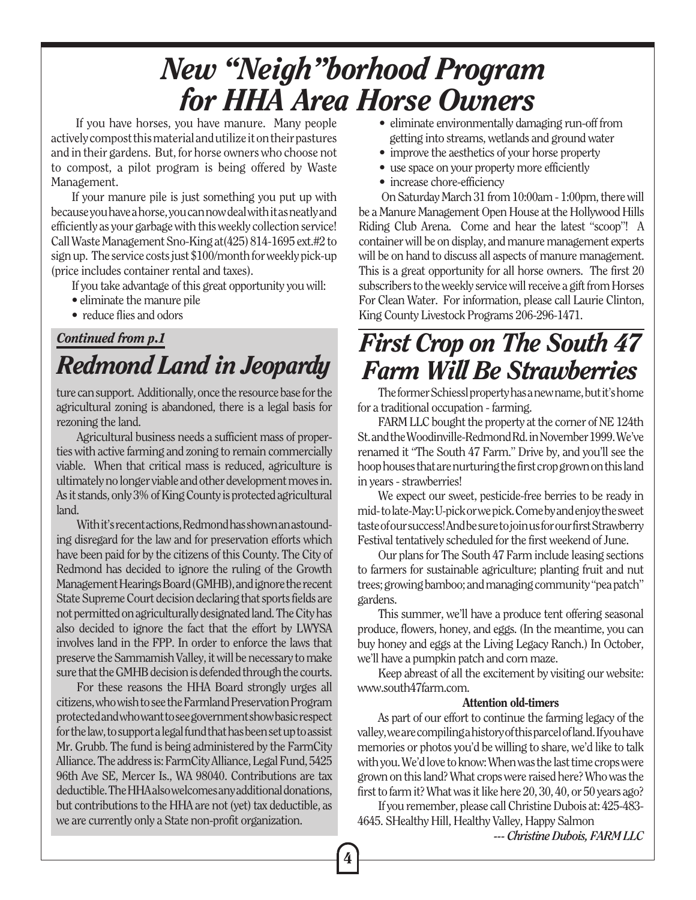## *New "Neigh"borhood Program for HHA Area Horse Owners*

 If you have horses, you have manure. Many people actively compost this material and utilize it on their pastures and in their gardens. But, for horse owners who choose not to compost, a pilot program is being offered by Waste Management.

If your manure pile is just something you put up with because you have a horse, you can now deal with it as neatly and efficiently as your garbage with this weekly collection service! Call Waste Management Sno-King at(425) 814-1695 ext.#2 to sign up. The service costs just \$100/month for weekly pick-up (price includes container rental and taxes).

If you take advantage of this great opportunity you will:

- eliminate the manure pile
- reduce flies and odors

## *Redmond Land in Jeopardy Continued from p.1*

ture can support. Additionally, once the resource base for the agricultural zoning is abandoned, there is a legal basis for rezoning the land.

Agricultural business needs a sufficient mass of properties with active farming and zoning to remain commercially viable. When that critical mass is reduced, agriculture is ultimately no longer viable and other development moves in. As it stands, only 3% of King County is protected agricultural land.

With it's recent actions, Redmond has shown an astounding disregard for the law and for preservation efforts which have been paid for by the citizens of this County. The City of Redmond has decided to ignore the ruling of the Growth Management Hearings Board (GMHB), and ignore the recent State Supreme Court decision declaring that sports fields are not permitted on agriculturally designated land. The City has also decided to ignore the fact that the effort by LWYSA involves land in the FPP. In order to enforce the laws that preserve the Sammamish Valley, it will be necessary to make sure that the GMHB decision is defended through the courts.

For these reasons the HHA Board strongly urges all citizens, who wish to see the Farmland Preservation Program protected and who want to see government show basic respect for the law, to support a legal fund that has been set up to assist Mr. Grubb. The fund is being administered by the FarmCity Alliance. The address is: FarmCity Alliance, Legal Fund, 5425 96th Ave SE, Mercer Is., WA 98040. Contributions are tax deductible. The HHA also welcomes any additional donations, but contributions to the HHA are not (yet) tax deductible, as we are currently only a State non-profit organization.

- eliminate environmentally damaging run-off from getting into streams, wetlands and ground water
- improve the aesthetics of your horse property
- use space on your property more efficiently
- increase chore-efficiency

 On Saturday March 31 from 10:00am - 1:00pm, there will be a Manure Management Open House at the Hollywood Hills Riding Club Arena. Come and hear the latest "scoop"! A container will be on display, and manure management experts will be on hand to discuss all aspects of manure management. This is a great opportunity for all horse owners. The first 20 subscribers to the weekly service will receive a gift from Horses For Clean Water. For information, please call Laurie Clinton, King County Livestock Programs 206-296-1471.

## *First Crop on The South 47 Farm Will Be Strawberries*

The former Schiessl property has a new name, but it's home for a traditional occupation - farming.

FARM LLC bought the property at the corner of NE 124th St. and the Woodinville-Redmond Rd. in November 1999. We've renamed it "The South 47 Farm." Drive by, and you'll see the hoop houses that are nurturing the first crop grown on this land in years - strawberries!

We expect our sweet, pesticide-free berries to be ready in mid- to late-May: U-pick or we pick. Come by and enjoy the sweet taste of our success! And be sure to join us for our first Strawberry Festival tentatively scheduled for the first weekend of June.

Our plans for The South 47 Farm include leasing sections to farmers for sustainable agriculture; planting fruit and nut trees; growing bamboo; and managing community "pea patch" gardens.

This summer, we'll have a produce tent offering seasonal produce, flowers, honey, and eggs. (In the meantime, you can buy honey and eggs at the Living Legacy Ranch.) In October, we'll have a pumpkin patch and corn maze.

Keep abreast of all the excitement by visiting our website: www.south47farm.com.

#### Attention old-timers

As part of our effort to continue the farming legacy of the valley, we are compiling a history of this parcel of land. If you have memories or photos you'd be willing to share, we'd like to talk with you. We'd love to know: When was the last time crops were grown on this land? What crops were raised here? Who was the first to farm it? What was it like here 20, 30, 40, or 50 years ago?

If you remember, please call Christine Dubois at: 425-483- 4645. SHealthy Hill, Healthy Valley, Happy Salmon

*--- Christine Dubois, FARM LLC*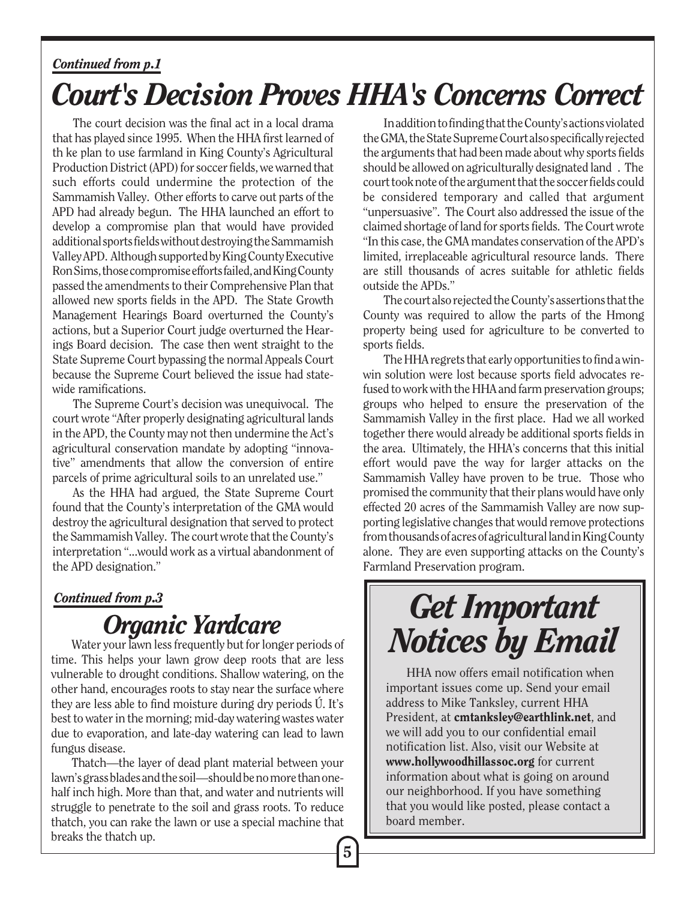#### *Continued from p.1*

# *Court's Decision Proves HHA's Concerns Correct*

The court decision was the final act in a local drama that has played since 1995. When the HHA first learned of th ke plan to use farmland in King County's Agricultural Production District (APD) for soccer fields, we warned that such efforts could undermine the protection of the Sammamish Valley. Other efforts to carve out parts of the APD had already begun. The HHA launched an effort to develop a compromise plan that would have provided additional sports fields without destroying the Sammamish Valley APD. Although supported by King County Executive Ron Sims, those compromise efforts failed, and King County passed the amendments to their Comprehensive Plan that allowed new sports fields in the APD. The State Growth Management Hearings Board overturned the County's actions, but a Superior Court judge overturned the Hearings Board decision. The case then went straight to the State Supreme Court bypassing the normal Appeals Court because the Supreme Court believed the issue had statewide ramifications.

The Supreme Court's decision was unequivocal. The court wrote "After properly designating agricultural lands in the APD, the County may not then undermine the Act's agricultural conservation mandate by adopting "innovative" amendments that allow the conversion of entire parcels of prime agricultural soils to an unrelated use."

As the HHA had argued, the State Supreme Court found that the County's interpretation of the GMA would destroy the agricultural designation that served to protect the Sammamish Valley. The court wrote that the County's interpretation "...would work as a virtual abandonment of the APD designation."

#### *Continued from p.3*

# *Organic Yardcare*<br>Water your lawn less frequently but for longer periods of

vulnerable to drought conditions. Shallow watering, on the other hand, encourages roots to stay near the surface where they are less able to find moisture during dry periods Ú. It's best to water in the morning; mid-day watering wastes water due to evaporation, and late-day watering can lead to lawn fungus disease.

Thatch—the layer of dead plant material between your lawn's grass blades and the soil—should be no more than onehalf inch high. More than that, and water and nutrients will struggle to penetrate to the soil and grass roots. To reduce thatch, you can rake the lawn or use a special machine that breaks the thatch up.

In addition to finding that the County's actions violated the GMA, the State Supreme Court also specifically rejected the arguments that had been made about why sports fields should be allowed on agriculturally designated land . The court took note of the argument that the soccer fields could be considered temporary and called that argument "unpersuasive". The Court also addressed the issue of the claimed shortage of land for sports fields. The Court wrote "In this case, the GMA mandates conservation of the APD's limited, irreplaceable agricultural resource lands. There are still thousands of acres suitable for athletic fields outside the APDs."

The court also rejected the County's assertions that the County was required to allow the parts of the Hmong property being used for agriculture to be converted to sports fields.

The HHA regrets that early opportunities to find a winwin solution were lost because sports field advocates refused to work with the HHA and farm preservation groups; groups who helped to ensure the preservation of the Sammamish Valley in the first place. Had we all worked together there would already be additional sports fields in the area. Ultimately, the HHA's concerns that this initial effort would pave the way for larger attacks on the Sammamish Valley have proven to be true. Those who promised the community that their plans would have only effected 20 acres of the Sammamish Valley are now supporting legislative changes that would remove protections from thousands of acres of agricultural land in King County alone. They are even supporting attacks on the County's Farmland Preservation program.

# *Get Important* Water your lawn less frequently but for longer periods of **Notices by Email** time. This helps your lawn grow deep roots that are less

HHA now offers email notification when important issues come up. Send your email address to Mike Tanksley, current HHA President, at cmtanksley@earthlink.net, and we will add you to our confidential email notification list. Also, visit our Website at www.hollywoodhillassoc.org for current information about what is going on around our neighborhood. If you have something that you would like posted, please contact a board member.